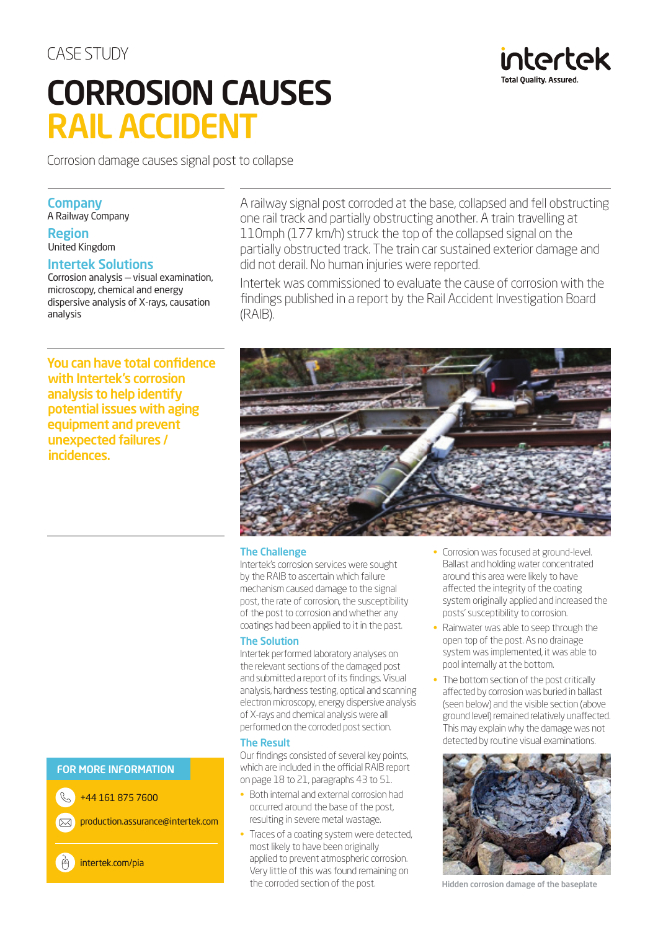# CASE STUDY CORROSION CAUSES RAIL ACCIDENT

Corrosion damage causes signal post to collapse

### **Company**

A Railway Company

#### Region United Kingdom

# Intertek Solutions

Corrosion analysis — visual examination, microscopy, chemical and energy dispersive analysis of X-rays, causation analysis

You can have total confidence with Intertek's corrosion analysis to help identify potential issues with aging equipment and prevent unexpected failures / incidences.

A railway signal post corroded at the base, collapsed and fell obstructing one rail track and partially obstructing another. A train travelling at 110mph (177 km/h) struck the top of the collapsed signal on the partially obstructed track. The train car sustained exterior damage and did not derail. No human injuries were reported.

Intertek was commissioned to evaluate the cause of corrosion with the findings published in a report by the Rail Accident Investigation Board (RAIB).



#### The Challenge

Intertek's corrosion services were sought by the RAIB to ascertain which failure mechanism caused damage to the signal post, the rate of corrosion, the susceptibility of the post to corrosion and whether any coatings had been applied to it in the past.

#### The Solution

Intertek performed laboratory analyses on the relevant sections of the damaged post and submitted a report of its findings. Visual analysis, hardness testing, optical and scanning electron microscopy, energy dispersive analysis of X-rays and chemical analysis were all performed on the corroded post section.

#### The Result

Our findings consisted of several key points, which are included in the official RAIB report on page 18 to 21, paragraphs 43 to 51.

- Both internal and external corrosion had occurred around the base of the post, resulting in severe metal wastage.
- Traces of a coating system were detected, most likely to have been originally applied to prevent atmospheric corrosion. Very little of this was found remaining on the corroded section of the post.

• Corrosion was focused at ground-level. Ballast and holding water concentrated around this area were likely to have affected the integrity of the coating system originally applied and increased the posts' susceptibility to corrosion.

intertek

**Total Quality Assurer** 

- Rainwater was able to seep through the open top of the post. As no drainage system was implemented, it was able to pool internally at the bottom.
- The bottom section of the post critically affected by corrosion was buried in ballast (seen below) and the visible section (above ground level) remained relatively unaffected. This may explain why the damage was not detected by routine visual examinations.



Hidden corrosion damage of the baseplate

FOR MORE INFORMATION

 $\mathcal{C}$ +44 161 875 7600

 $\overline{\sim}$ 

production.assurance@intertek.com